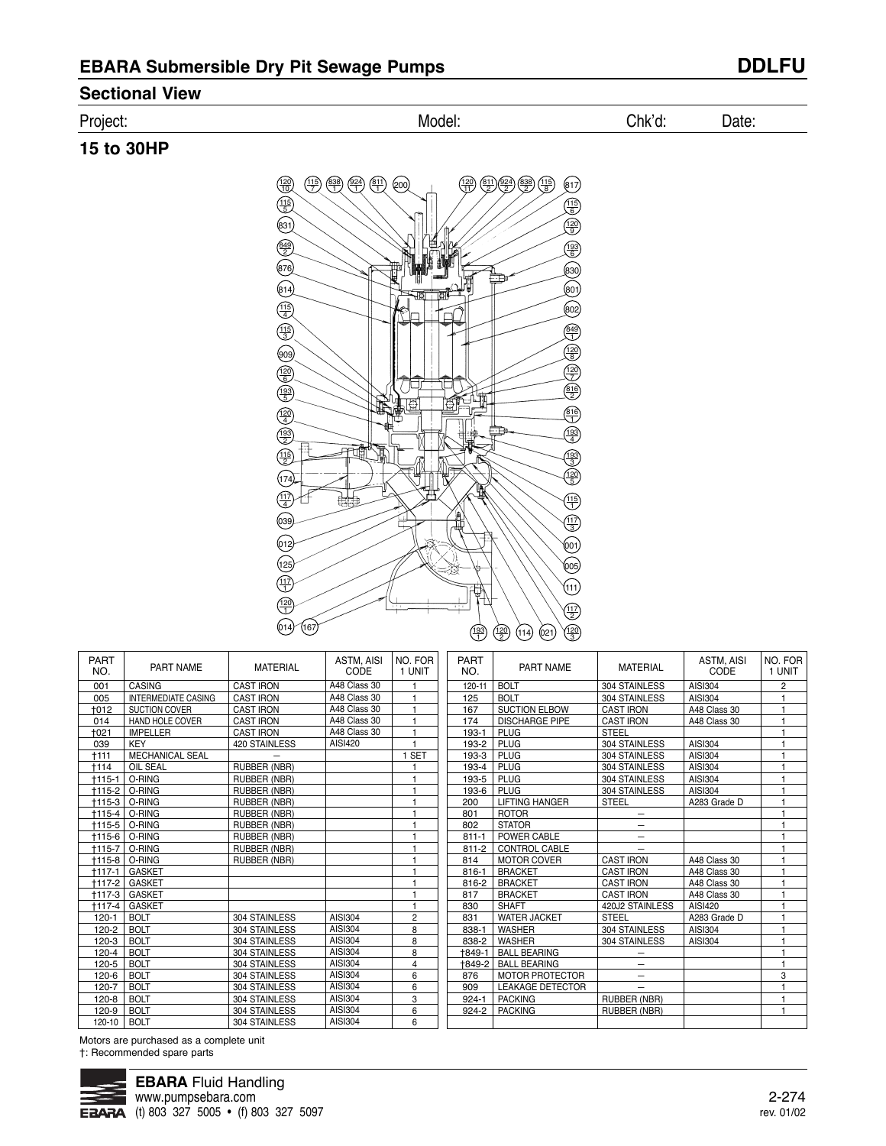# **Sectional View**

### Project: Model: Chk'd: Date:

# **15 to 30HP**



| <b>PART</b><br>NO. | PART NAME                  | <b>MATERIAL</b>     | <b>ASTM. AISI</b><br>CODE | NO. FOR<br>1 UNIT | <b>PART</b><br>NO. | <b>PART NAME</b>        | <b>MATERIAL</b>          | <b>ASTM. AISI</b><br>CODE | NO. FOR<br>1 UNIT |
|--------------------|----------------------------|---------------------|---------------------------|-------------------|--------------------|-------------------------|--------------------------|---------------------------|-------------------|
| 001                | CASING                     | <b>CAST IRON</b>    | A48 Class 30              |                   | 120-11             | <b>BOLT</b>             | 304 STAINLESS            | AISI304                   | $\overline{2}$    |
| 005                | <b>INTERMEDIATE CASING</b> | <b>CAST IRON</b>    | A48 Class 30              |                   | 125                | <b>BOLT</b>             | 304 STAINLESS            | AISI304                   |                   |
| +012               | <b>SUCTION COVER</b>       | <b>CAST IRON</b>    | A48 Class 30              |                   | 167                | <b>SUCTION ELBOW</b>    | <b>CAST IRON</b>         | A48 Class 30              |                   |
| 014                | <b>HAND HOLE COVER</b>     | <b>CAST IRON</b>    | A48 Class 30              |                   | 174                | <b>DISCHARGE PIPE</b>   | <b>CAST IRON</b>         | A48 Class 30              |                   |
| +021               | <b>IMPELLER</b>            | <b>CAST IRON</b>    | A48 Class 30              |                   | 193-1              | <b>PLUG</b>             | <b>STEEL</b>             |                           |                   |
| 039                | <b>KEY</b>                 | 420 STAINLESS       | AISI420                   |                   | 193-2              | <b>PLUG</b>             | 304 STAINLESS            | AISI304                   |                   |
| $+111$             | <b>MECHANICAL SEAL</b>     |                     |                           | 1 SET             | 193-3              | PLUG                    | 304 STAINLESS            | AISI304                   |                   |
| +114               | OIL SEAL                   | RUBBER (NBR)        |                           |                   | 193-4              | PLUG                    | 304 STAINLESS            | AISI304                   |                   |
| $+115-1$           | O-RING                     | <b>RUBBER (NBR)</b> |                           |                   | 193-5              | PLUG                    | 304 STAINLESS            | AISI304                   |                   |
| $+115-2$           | O-RING                     | RUBBER (NBR)        |                           |                   | 193-6              | PLUG                    | 304 STAINLESS            | AISI304                   |                   |
| +115-3             | O-RING                     | RUBBER (NBR)        |                           |                   | 200                | <b>LIFTING HANGER</b>   | <b>STEEL</b>             | A283 Grade D              |                   |
| $+115-4$           | O-RING                     | RUBBER (NBR)        |                           |                   | 801                | <b>ROTOR</b>            |                          |                           |                   |
| $+115-5$           | O-RING                     | RUBBER (NBR)        |                           |                   | 802                | <b>STATOR</b>           | —                        |                           |                   |
| $+115-6$           | O-RING                     | RUBBER (NBR)        |                           |                   | $811 - 1$          | POWER CABLE             | $\qquad \qquad -$        |                           |                   |
| $+115-7$           | O-RING                     | RUBBER (NBR)        |                           |                   | $811 - 2$          | <b>CONTROL CABLE</b>    |                          |                           |                   |
| $+115-8$           | O-RING                     | RUBBER (NBR)        |                           |                   | 814                | <b>MOTOR COVER</b>      | <b>CAST IRON</b>         | A48 Class 30              |                   |
| $+117-1$           | <b>GASKET</b>              |                     |                           |                   | $816 - 1$          | <b>BRACKET</b>          | <b>CAST IRON</b>         | A48 Class 30              |                   |
| $+117-2$           | <b>GASKET</b>              |                     |                           |                   | 816-2              | <b>BRACKET</b>          | <b>CAST IRON</b>         | A48 Class 30              |                   |
| $+117-3$           | <b>GASKET</b>              |                     |                           |                   | 817                | <b>BRACKET</b>          | <b>CAST IRON</b>         | A48 Class 30              |                   |
| $+117-4$           | <b>GASKET</b>              |                     |                           | 1                 | 830                | <b>SHAFT</b>            | 420J2 STAINLESS          | AISI420                   |                   |
| $120 - 1$          | <b>BOLT</b>                | 304 STAINLESS       | AISI304                   | $\overline{2}$    | 831                | <b>WATER JACKET</b>     | <b>STEEL</b>             | A283 Grade D              |                   |
| $120 - 2$          | <b>BOLT</b>                | 304 STAINLESS       | AISI304                   | 8                 | 838-1              | <b>WASHER</b>           | 304 STAINLESS            | AISI304                   |                   |
| $120-3$            | <b>BOLT</b>                | 304 STAINLESS       | <b>AISI304</b>            | 8                 | 838-2              | <b>WASHER</b>           | 304 STAINLESS            | AISI304                   |                   |
| $120 - 4$          | <b>BOLT</b>                | 304 STAINLESS       | AISI304                   | 8                 | $+849 -$           | <b>BALL BEARING</b>     |                          |                           |                   |
| $120 - 5$          | <b>BOLT</b>                | 304 STAINLESS       | AISI304                   | 4                 | +849-2             | <b>BALL BEARING</b>     | —                        |                           |                   |
| $120 - 6$          | <b>BOLT</b>                | 304 STAINLESS       | <b>AISI304</b>            | 6                 | 876                | <b>MOTOR PROTECTOR</b>  | $\overline{\phantom{0}}$ |                           | 3                 |
| $120 - 7$          | <b>BOLT</b>                | 304 STAINLESS       | AISI304                   | 6                 | 909                | <b>LEAKAGE DETECTOR</b> | —                        |                           |                   |
| $120 - 8$          | <b>BOLT</b>                | 304 STAINLESS       | AISI304                   | 3                 | $924 - 1$          | <b>PACKING</b>          | RUBBER (NBR)             |                           |                   |
| 120-9              | <b>BOLT</b>                | 304 STAINLESS       | <b>AISI304</b>            | 6                 | $924 - 2$          | <b>PACKING</b>          | RUBBER (NBR)             |                           |                   |
| 120-10             | <b>BOLT</b>                | 304 STAINLESS       | <b>AISI304</b>            | 6                 |                    |                         |                          |                           |                   |
|                    |                            |                     |                           |                   |                    |                         |                          |                           |                   |

Motors are purchased as a complete unit †: Recommended spare parts

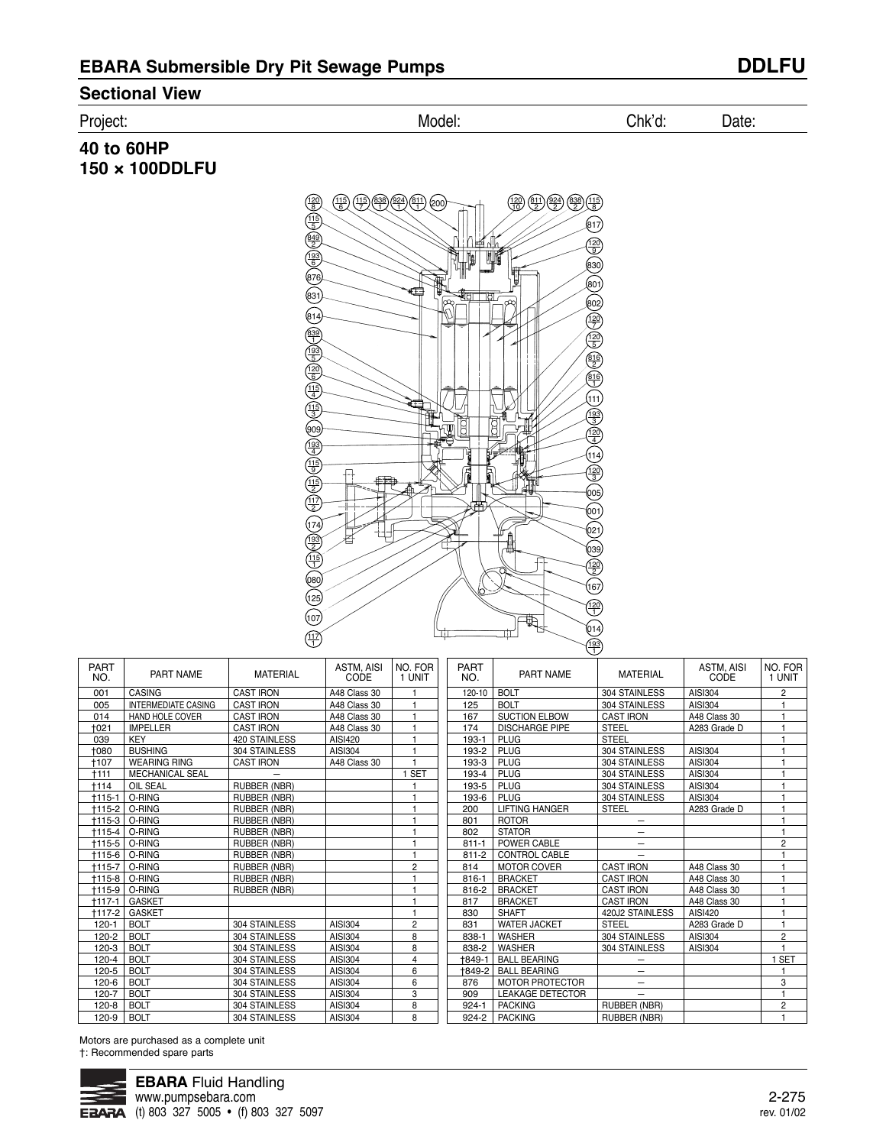## **Sectional View**

Project: Model: Chk'd: Date:

## **40 to 60HP 150 × 100DDLFU**



| <b>PART</b><br>NO. | PART NAME                  | <b>MATERIAL</b>  | <b>ASTM, AISI</b><br>CODE | NO. FOR<br>1 UNIT | <b>PART</b><br>NO. | PART NAME               | <b>MATERIAL</b>          | ASTM, AISI<br>CODE | NO. FOR<br>1 UNIT |
|--------------------|----------------------------|------------------|---------------------------|-------------------|--------------------|-------------------------|--------------------------|--------------------|-------------------|
| 001                | <b>CASING</b>              | <b>CAST IRON</b> | A48 Class 30              |                   | 120-10             | <b>BOLT</b>             | 304 STAINLESS            | AISI304            | $\overline{c}$    |
| 005                | <b>INTERMEDIATE CASING</b> | <b>CAST IRON</b> | A48 Class 30              |                   | 125                | <b>BOLT</b>             | 304 STAINLESS            | AISI304            |                   |
| 014                | HAND HOLE COVER            | <b>CAST IRON</b> | A48 Class 30              |                   | 167                | <b>SUCTION ELBOW</b>    | <b>CAST IRON</b>         | A48 Class 30       |                   |
| +021               | <b>IMPELLER</b>            | <b>CAST IRON</b> | A48 Class 30              |                   | 174                | <b>DISCHARGE PIPE</b>   | <b>STEEL</b>             | A283 Grade D       |                   |
| 039                | KEY                        | 420 STAINLESS    | <b>AISI420</b>            |                   | 193-1              | <b>PLUG</b>             | <b>STEEL</b>             |                    |                   |
| 1080               | <b>BUSHING</b>             | 304 STAINLESS    | AISI304                   |                   | 193-2              | PLUG                    | 304 STAINLESS            | AISI304            |                   |
| +107               | <b>WEARING RING</b>        | <b>CAST IRON</b> | A48 Class 30              |                   | 193-3              | PLUG                    | 304 STAINLESS            | AISI304            |                   |
| +111               | <b>MECHANICAL SEAL</b>     |                  |                           | <b>SET</b>        | 193-4              | <b>PLUG</b>             | 304 STAINLESS            | <b>AISI304</b>     |                   |
| +114               | <b>OIL SEAL</b>            | RUBBER (NBR)     |                           |                   | 193-5              | PLUG                    | 304 STAINLESS            | AISI304            |                   |
| $+115-1$           | O-RING                     | RUBBER (NBR)     |                           |                   | 193-6              | PLUG                    | 304 STAINLESS            | <b>AISI304</b>     |                   |
| $+115-2$           | O-RING                     | RUBBER (NBR)     |                           |                   | 200                | <b>LIFTING HANGER</b>   | <b>STEEL</b>             | A283 Grade D       |                   |
| +115-3             | O-RING                     | RUBBER (NBR)     |                           |                   | 801                | <b>ROTOR</b>            |                          |                    |                   |
| $+115-4$           | O-RING                     | RUBBER (NBR)     |                           |                   | 802                | <b>STATOR</b>           | -                        |                    |                   |
| $+115-5$           | O-RING                     | RUBBER (NBR)     |                           |                   | $811 - 1$          | POWER CABLE             | $\overline{\phantom{0}}$ |                    | $\overline{c}$    |
| +115-6             | O-RING                     | RUBBER (NBR)     |                           |                   | $811 - 2$          | CONTROL CABLE           |                          |                    |                   |
| $+115-7$           | O-RING                     | RUBBER (NBR)     |                           | $\overline{2}$    | 814                | <b>MOTOR COVER</b>      | <b>CAST IRON</b>         | A48 Class 30       |                   |
| $+115-8$           | O-RING                     | RUBBER (NBR)     |                           |                   | $816 - 1$          | <b>BRACKET</b>          | <b>CAST IRON</b>         | A48 Class 30       |                   |
| $+115-9$           | O-RING                     | RUBBER (NBR)     |                           |                   | 816-2              | <b>BRACKET</b>          | <b>CAST IRON</b>         | A48 Class 30       |                   |
| $+117-1$           | <b>GASKET</b>              |                  |                           |                   | 817                | <b>BRACKET</b>          | <b>CAST IRON</b>         | A48 Class 30       | $\overline{1}$    |
| +117-2             | <b>GASKET</b>              |                  |                           |                   | 830                | <b>SHAFT</b>            | 420J2 STAINLESS          | AISI420            |                   |
| $120 - 1$          | <b>BOLT</b>                | 304 STAINLESS    | <b>AISI304</b>            | $\overline{2}$    | 831                | <b>WATER JACKET</b>     | <b>STEEL</b>             | A283 Grade D       | $\overline{1}$    |
| $120 - 2$          | <b>BOLT</b>                | 304 STAINLESS    | AISI304                   | 8                 | 838-1              | <b>WASHER</b>           | 304 STAINLESS            | AISI304            | $\overline{c}$    |
| $120 - 3$          | <b>BOLT</b>                | 304 STAINLESS    | AISI304                   | 8                 | 838-2              | <b>WASHER</b>           | 304 STAINLESS            | <b>AISI304</b>     |                   |
| $120 - 4$          | <b>BOLT</b>                | 304 STAINLESS    | AISI304                   | $\overline{4}$    | +849-1             | <b>BALL BEARING</b>     |                          |                    | <b>SET</b>        |
| 120-5              | <b>BOLT</b>                | 304 STAINLESS    | <b>AISI304</b>            | 6                 | +849-2             | <b>BALL BEARING</b>     | —                        |                    |                   |
| $120 - 6$          | <b>BOLT</b>                | 304 STAINLESS    | AISI304                   | 6                 | 876                | <b>MOTOR PROTECTOR</b>  | -                        |                    | 3                 |
| $120 - 7$          | <b>BOLT</b>                | 304 STAINLESS    | <b>AISI304</b>            | 3                 | 909                | <b>LEAKAGE DETECTOR</b> | $\overline{\phantom{0}}$ |                    |                   |
| $120 - 8$          | <b>BOLT</b>                | 304 STAINLESS    | AISI304                   | 8                 | $924 - 1$          | <b>PACKING</b>          | RUBBER (NBR)             |                    | $\overline{2}$    |
| 120-9              | <b>BOLT</b>                | 304 STAINLESS    | AISI304                   | 8                 | 924-2              | <b>PACKING</b>          | RUBBER (NBR)             |                    | $\mathbf{1}$      |

Motors are purchased as a complete unit †: Recommended spare parts

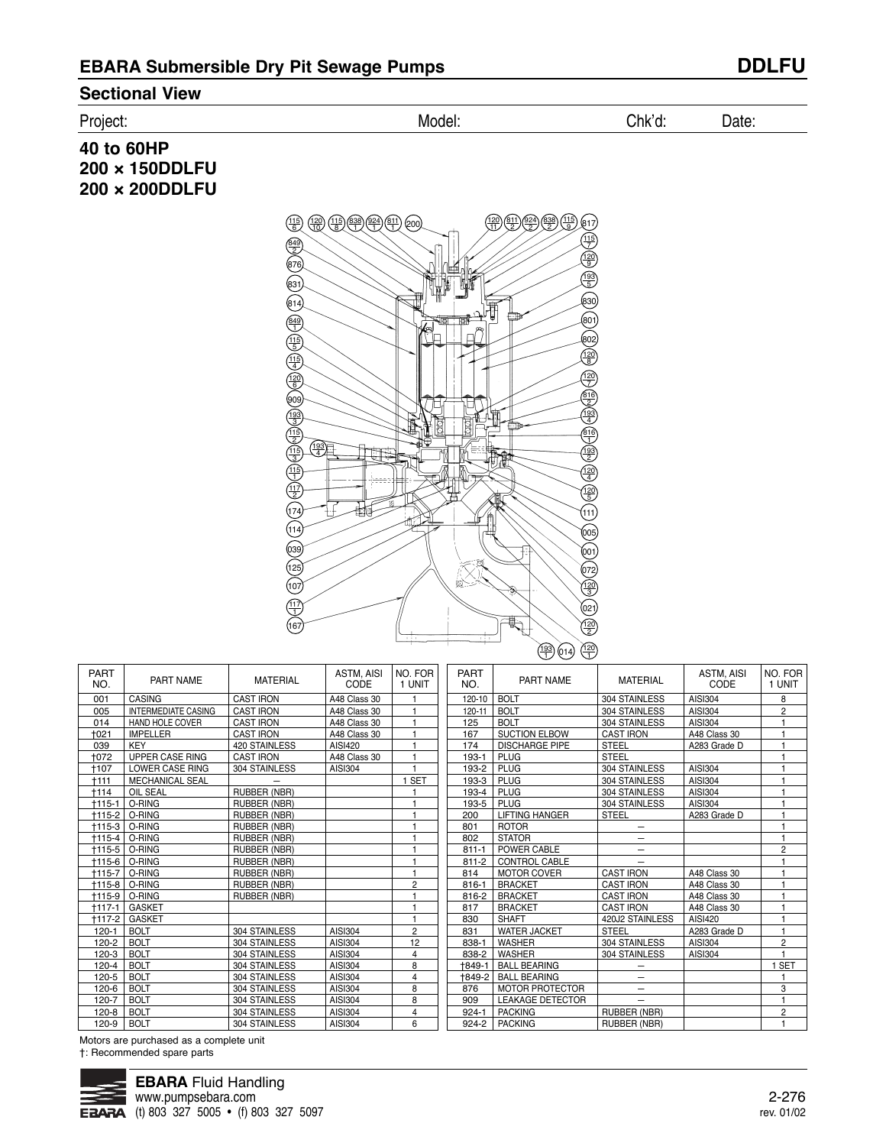### **Sectional View**

### Project: Model: Chk'd: Date:

**40 to 60HP 200 × 150DDLFU 200 × 200DDLFU**



| <b>PART</b><br>NO. | PART NAME                  | <b>MATERIAL</b>  | <b>ASTM. AISI</b><br>CODE | NO. FOR<br>1 UNIT | <b>PART</b><br>NO. | PART NAME               | <b>MATERIAL</b>     | <b>ASTM. AISI</b><br>CODE | NO. FOR<br>1 UNIT |
|--------------------|----------------------------|------------------|---------------------------|-------------------|--------------------|-------------------------|---------------------|---------------------------|-------------------|
| 001                | <b>CASING</b>              | <b>CAST IRON</b> | A48 Class 30              |                   | 120-10             | <b>BOLT</b>             | 304 STAINLESS       | AISI304                   | 8                 |
| 005                | <b>INTERMEDIATE CASING</b> | <b>CAST IRON</b> | A48 Class 30              |                   | 120-11             | <b>BOLT</b>             | 304 STAINLESS       | AISI304                   | $\overline{2}$    |
| 014                | HAND HOLE COVER            | <b>CAST IRON</b> | A48 Class 30              |                   | 125                | <b>BOLT</b>             | 304 STAINLESS       | AISI304                   |                   |
| +021               | <b>IMPELLER</b>            | <b>CAST IRON</b> | A48 Class 30              |                   | 167                | <b>SUCTION ELBOW</b>    | <b>CAST IRON</b>    | A48 Class 30              |                   |
| 039                | KEY                        | 420 STAINLESS    | AISI420                   |                   | 174                | <b>DISCHARGE PIPE</b>   | <b>STEEL</b>        | A283 Grade D              |                   |
| +072               | <b>UPPER CASE RING</b>     | <b>CAST IRON</b> | A48 Class 30              |                   | 193-1              | PLUG                    | <b>STEEL</b>        |                           |                   |
| +107               | <b>LOWER CASE RING</b>     | 304 STAINLESS    | AISI304                   |                   | 193-2              | PLUG                    | 304 STAINLESS       | AISI304                   |                   |
| $+111$             | MECHANICAL SEAL            |                  |                           | 1 SET             | 193-3              | PLUG                    | 304 STAINLESS       | AISI304                   |                   |
| +114               | <b>OIL SEAL</b>            | RUBBER (NBR)     |                           |                   | 193-4              | <b>PLUG</b>             | 304 STAINLESS       | AISI304                   |                   |
| $+115-1$           | O-RING                     | RUBBER (NBR)     |                           |                   | 193-5              | <b>PLUG</b>             | 304 STAINLESS       | AISI304                   |                   |
| $+115-2$           | O-RING                     | RUBBER (NBR)     |                           |                   | 200                | <b>LIFTING HANGER</b>   | <b>STEEL</b>        | A283 Grade D              |                   |
|                    | †115-3   O-RING            | RUBBER (NBR)     |                           |                   | 801                | <b>ROTOR</b>            | $\qquad \qquad -$   |                           |                   |
| $+115-4$           | O-RING                     | RUBBER (NBR)     |                           |                   | 802                | <b>STATOR</b>           |                     |                           |                   |
| +115-5             | O-RING                     | RUBBER (NBR)     |                           |                   | $811 - 1$          | POWER CABLE             |                     |                           | $\overline{2}$    |
| +115-6             | O-RING                     | RUBBER (NBR)     |                           |                   | $811 - 2$          | <b>CONTROL CABLE</b>    |                     |                           |                   |
| $+115-7$           | O-RING                     | RUBBER (NBR)     |                           | ٠                 | 814                | <b>MOTOR COVER</b>      | <b>CAST IRON</b>    | A48 Class 30              |                   |
| +115-8             | O-RING                     | RUBBER (NBR)     |                           | $\overline{2}$    | $816 - 1$          | <b>BRACKET</b>          | <b>CAST IRON</b>    | A48 Class 30              |                   |
|                    | †115-9   O-RING            | RUBBER (NBR)     |                           |                   | 816-2              | <b>BRACKET</b>          | <b>CAST IRON</b>    | A48 Class 30              |                   |
| $+117-1$           | <b>GASKET</b>              |                  |                           |                   | 817                | <b>BRACKET</b>          | <b>CAST IRON</b>    | A48 Class 30              |                   |
| +117-2             | <b>GASKET</b>              |                  |                           |                   | 830                | <b>SHAFT</b>            | 420J2 STAINLESS     | <b>AISI420</b>            |                   |
| $120 - 1$          | <b>BOLT</b>                | 304 STAINLESS    | AISI304                   | $\overline{c}$    | 831                | <b>WATER JACKET</b>     | <b>STEEL</b>        | A283 Grade D              |                   |
| $120 - 2$          | <b>BOLT</b>                | 304 STAINLESS    | AISI304                   | 12                | 838-1              | <b>WASHER</b>           | 304 STAINLESS       | AISI304                   | $\overline{2}$    |
| $120-3$            | <b>BOLT</b>                | 304 STAINLESS    | AISI304                   | 4                 | 838-2              | <b>WASHER</b>           | 304 STAINLESS       | AISI304                   |                   |
| $120 - 4$          | <b>BOLT</b>                | 304 STAINLESS    | AISI304                   | 8                 | +849-1             | <b>BALL BEARING</b>     |                     |                           | I SET             |
| $120 - 5$          | <b>BOLT</b>                | 304 STAINLESS    | AISI304                   | 4                 | +849-2             | <b>BALL BEARING</b>     |                     |                           |                   |
| 120-6              | <b>BOLT</b>                | 304 STAINLESS    | AISI304                   | 8                 | 876                | <b>MOTOR PROTECTOR</b>  | $\qquad \qquad -$   |                           | 3                 |
| $120 - 7$          | <b>BOLT</b>                | 304 STAINLESS    | AISI304                   | 8                 | 909                | <b>LEAKAGE DETECTOR</b> |                     |                           | 1                 |
| $120 - 8$          | <b>BOLT</b>                | 304 STAINLESS    | AISI304                   | 4                 | $924 - 1$          | <b>PACKING</b>          | <b>RUBBER (NBR)</b> |                           | 2                 |
| 120-9              | <b>BOLT</b>                | 304 STAINLESS    | AISI304                   | 6                 | $924 - 2$          | <b>PACKING</b>          | RUBBER (NBR)        |                           |                   |

Motors are purchased as a complete unit †: Recommended spare parts